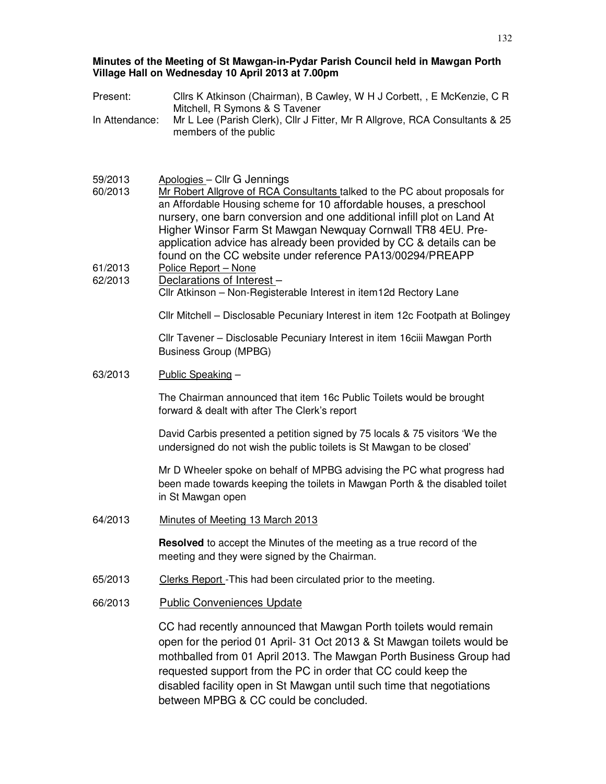#### **Minutes of the Meeting of St Mawgan-in-Pydar Parish Council held in Mawgan Porth Village Hall on Wednesday 10 April 2013 at 7.00pm**

| Present:           | Cllrs K Atkinson (Chairman), B Cawley, W H J Corbett, , E McKenzie, C R                                                                                                                                                                                                                                                                                                                             |  |
|--------------------|-----------------------------------------------------------------------------------------------------------------------------------------------------------------------------------------------------------------------------------------------------------------------------------------------------------------------------------------------------------------------------------------------------|--|
| In Attendance:     | Mitchell, R Symons & S Tavener<br>Mr L Lee (Parish Clerk), Cllr J Fitter, Mr R Allgrove, RCA Consultants & 25<br>members of the public                                                                                                                                                                                                                                                              |  |
|                    |                                                                                                                                                                                                                                                                                                                                                                                                     |  |
| 59/2013<br>60/2013 | Apologies - Cllr G Jennings<br>Mr Robert Allgrove of RCA Consultants talked to the PC about proposals for<br>an Affordable Housing scheme for 10 affordable houses, a preschool<br>nursery, one barn conversion and one additional infill plot on Land At<br>Higher Winsor Farm St Mawgan Newquay Cornwall TR8 4EU. Pre-<br>application advice has already been provided by CC & details can be     |  |
| 61/2013            | found on the CC website under reference PA13/00294/PREAPP<br>Police Report - None                                                                                                                                                                                                                                                                                                                   |  |
| 62/2013            | Declarations of Interest-<br>Cllr Atkinson - Non-Registerable Interest in item12d Rectory Lane                                                                                                                                                                                                                                                                                                      |  |
|                    | Cllr Mitchell - Disclosable Pecuniary Interest in item 12c Footpath at Bolingey                                                                                                                                                                                                                                                                                                                     |  |
|                    | Cllr Tavener - Disclosable Pecuniary Interest in item 16ciii Mawgan Porth<br><b>Business Group (MPBG)</b>                                                                                                                                                                                                                                                                                           |  |
| 63/2013            | Public Speaking -                                                                                                                                                                                                                                                                                                                                                                                   |  |
|                    | The Chairman announced that item 16c Public Toilets would be brought<br>forward & dealt with after The Clerk's report                                                                                                                                                                                                                                                                               |  |
|                    | David Carbis presented a petition signed by 75 locals & 75 visitors 'We the<br>undersigned do not wish the public toilets is St Mawgan to be closed'                                                                                                                                                                                                                                                |  |
|                    | Mr D Wheeler spoke on behalf of MPBG advising the PC what progress had<br>been made towards keeping the toilets in Mawgan Porth & the disabled toilet<br>in St Mawgan open                                                                                                                                                                                                                          |  |
| 64/2013            | Minutes of Meeting 13 March 2013                                                                                                                                                                                                                                                                                                                                                                    |  |
|                    | <b>Resolved</b> to accept the Minutes of the meeting as a true record of the<br>meeting and they were signed by the Chairman.                                                                                                                                                                                                                                                                       |  |
| 65/2013            | Clerks Report - This had been circulated prior to the meeting.                                                                                                                                                                                                                                                                                                                                      |  |
| 66/2013            | <b>Public Conveniences Update</b>                                                                                                                                                                                                                                                                                                                                                                   |  |
|                    | CC had recently announced that Mawgan Porth toilets would remain<br>open for the period 01 April- 31 Oct 2013 & St Mawgan toilets would be<br>mothballed from 01 April 2013. The Mawgan Porth Business Group had<br>requested support from the PC in order that CC could keep the<br>disabled facility open in St Mawgan until such time that negotiations<br>between MPBG & CC could be concluded. |  |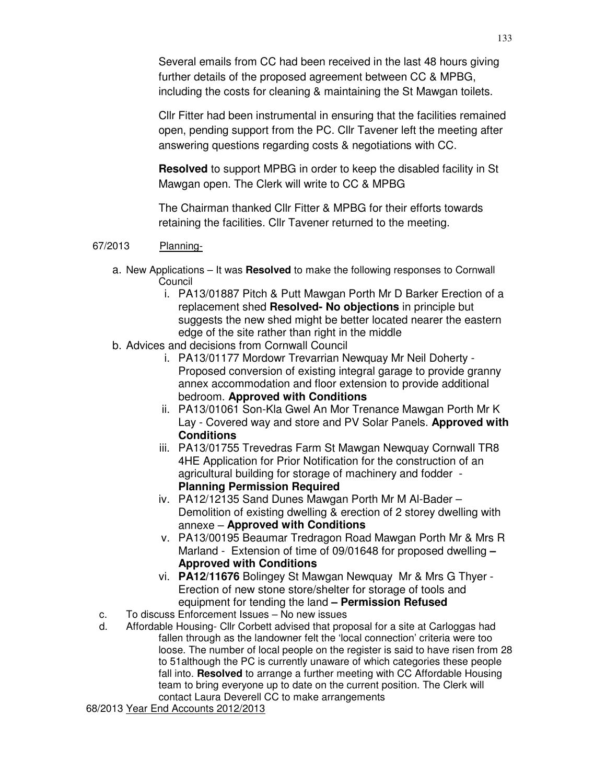Several emails from CC had been received in the last 48 hours giving further details of the proposed agreement between CC & MPBG, including the costs for cleaning & maintaining the St Mawgan toilets.

Cllr Fitter had been instrumental in ensuring that the facilities remained open, pending support from the PC. Cllr Tavener left the meeting after answering questions regarding costs & negotiations with CC.

**Resolved** to support MPBG in order to keep the disabled facility in St Mawgan open. The Clerk will write to CC & MPBG

The Chairman thanked Cllr Fitter & MPBG for their efforts towards retaining the facilities. Cllr Tavener returned to the meeting.

# 67/2013 Planning-

- a. New Applications It was **Resolved** to make the following responses to Cornwall Council
	- i. PA13/01887 Pitch & Putt Mawgan Porth Mr D Barker Erection of a replacement shed **Resolved- No objections** in principle but suggests the new shed might be better located nearer the eastern edge of the site rather than right in the middle
- b. Advices and decisions from Cornwall Council
	- i. PA13/01177 Mordowr Trevarrian Newquay Mr Neil Doherty Proposed conversion of existing integral garage to provide granny annex accommodation and floor extension to provide additional bedroom. **Approved with Conditions**
	- ii. PA13/01061 Son-Kla Gwel An Mor Trenance Mawgan Porth Mr K Lay - Covered way and store and PV Solar Panels. **Approved with Conditions**
	- iii. PA13/01755 Trevedras Farm St Mawgan Newquay Cornwall TR8 4HE Application for Prior Notification for the construction of an agricultural building for storage of machinery and fodder - **Planning Permission Required**
	- iv. PA12/12135 Sand Dunes Mawgan Porth Mr M Al-Bader Demolition of existing dwelling & erection of 2 storey dwelling with annexe – **Approved with Conditions**
	- v. PA13/00195 Beaumar Tredragon Road Mawgan Porth Mr & Mrs R Marland - Extension of time of 09/01648 for proposed dwelling **– Approved with Conditions**
	- vi. **PA12/11676** Bolingey St Mawgan Newquay Mr & Mrs G Thyer Erection of new stone store/shelter for storage of tools and equipment for tending the land **– Permission Refused**
- c. To discuss Enforcement Issues No new issues
- d. Affordable Housing- Cllr Corbett advised that proposal for a site at Carloggas had fallen through as the landowner felt the 'local connection' criteria were too loose. The number of local people on the register is said to have risen from 28 to 51although the PC is currently unaware of which categories these people fall into. **Resolved** to arrange a further meeting with CC Affordable Housing team to bring everyone up to date on the current position. The Clerk will contact Laura Deverell CC to make arrangements

68/2013 Year End Accounts 2012/2013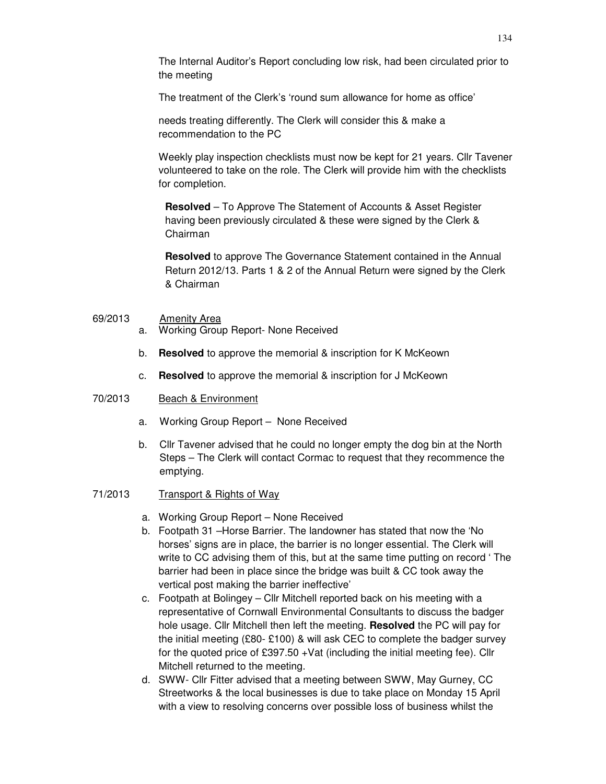The Internal Auditor's Report concluding low risk, had been circulated prior to the meeting

The treatment of the Clerk's 'round sum allowance for home as office'

needs treating differently. The Clerk will consider this & make a recommendation to the PC

Weekly play inspection checklists must now be kept for 21 years. Cllr Tavener volunteered to take on the role. The Clerk will provide him with the checklists for completion.

**Resolved** – To Approve The Statement of Accounts & Asset Register having been previously circulated & these were signed by the Clerk & Chairman

**Resolved** to approve The Governance Statement contained in the Annual Return 2012/13. Parts 1 & 2 of the Annual Return were signed by the Clerk & Chairman

### 69/2013 Amenity Area

- a. Working Group Report- None Received
- b. **Resolved** to approve the memorial & inscription for K McKeown
- c. **Resolved** to approve the memorial & inscription for J McKeown

### 70/2013 Beach & Environment

- a. Working Group Report None Received
- b. Cllr Tavener advised that he could no longer empty the dog bin at the North Steps – The Clerk will contact Cormac to request that they recommence the emptying.

## 71/2013 Transport & Rights of Way

- a. Working Group Report None Received
- b. Footpath 31 –Horse Barrier. The landowner has stated that now the 'No horses' signs are in place, the barrier is no longer essential. The Clerk will write to CC advising them of this, but at the same time putting on record ' The barrier had been in place since the bridge was built & CC took away the vertical post making the barrier ineffective'
- c. Footpath at Bolingey Cllr Mitchell reported back on his meeting with a representative of Cornwall Environmental Consultants to discuss the badger hole usage. Cllr Mitchell then left the meeting. **Resolved** the PC will pay for the initial meeting (£80- £100) & will ask CEC to complete the badger survey for the quoted price of £397.50 +Vat (including the initial meeting fee). Cllr Mitchell returned to the meeting.
- d. SWW- Cllr Fitter advised that a meeting between SWW, May Gurney, CC Streetworks & the local businesses is due to take place on Monday 15 April with a view to resolving concerns over possible loss of business whilst the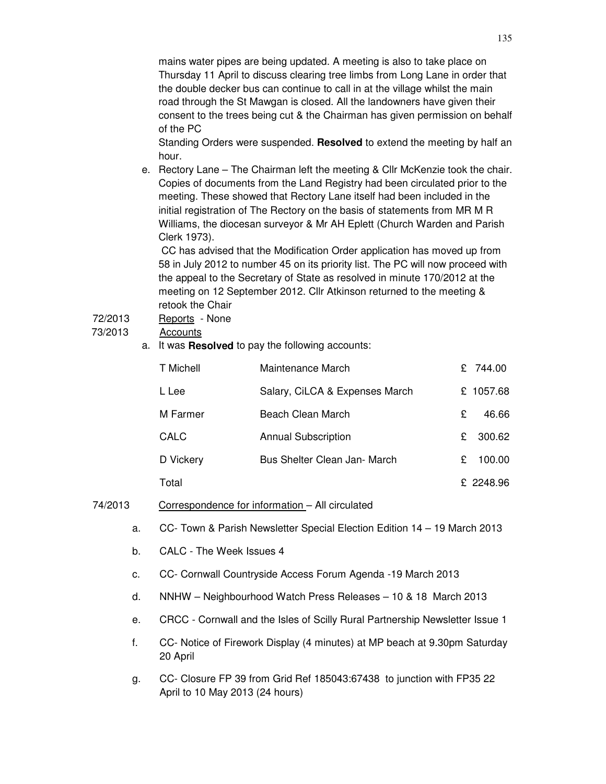mains water pipes are being updated. A meeting is also to take place on Thursday 11 April to discuss clearing tree limbs from Long Lane in order that the double decker bus can continue to call in at the village whilst the main road through the St Mawgan is closed. All the landowners have given their consent to the trees being cut & the Chairman has given permission on behalf of the PC

Standing Orders were suspended. **Resolved** to extend the meeting by half an hour.

e. Rectory Lane – The Chairman left the meeting & Cllr McKenzie took the chair. Copies of documents from the Land Registry had been circulated prior to the meeting. These showed that Rectory Lane itself had been included in the initial registration of The Rectory on the basis of statements from MR M R Williams, the diocesan surveyor & Mr AH Eplett (Church Warden and Parish Clerk 1973).

 CC has advised that the Modification Order application has moved up from 58 in July 2012 to number 45 on its priority list. The PC will now proceed with the appeal to the Secretary of State as resolved in minute 170/2012 at the meeting on 12 September 2012. Cllr Atkinson returned to the meeting & retook the Chair

72/2013 Reports - None

## 73/2013 Accounts

a. It was **Resolved** to pay the following accounts:

| T Michell   | Maintenance March              |    | £ 744.00  |
|-------------|--------------------------------|----|-----------|
| L Lee       | Salary, CiLCA & Expenses March |    | £ 1057.68 |
| M Farmer    | Beach Clean March              | £  | 46.66     |
| <b>CALC</b> | <b>Annual Subscription</b>     | £. | 300.62    |
| D Vickery   | Bus Shelter Clean Jan- March   | £  | 100.00    |
| Total       |                                |    | £ 2248.96 |

- 74/2013 Correspondence for information All circulated
	- a. CC- Town & Parish Newsletter Special Election Edition 14 19 March 2013
	- b. CALC The Week Issues 4
	- c. CC- Cornwall Countryside Access Forum Agenda -19 March 2013
	- d. NNHW Neighbourhood Watch Press Releases 10 & 18 March 2013
	- e. CRCC Cornwall and the Isles of Scilly Rural Partnership Newsletter Issue 1
	- f. CC- Notice of Firework Display (4 minutes) at MP beach at 9.30pm Saturday 20 April
	- g. CC- Closure FP 39 from Grid Ref 185043:67438 to junction with FP35 22 April to 10 May 2013 (24 hours)